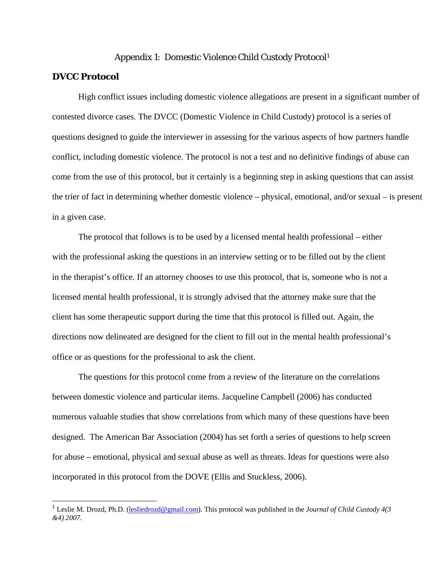## Appendix 1: Domestic Violence Child Custody Protocol1

## **DVCC Protocol**

 $\overline{a}$ 

High conflict issues including domestic violence allegations are present in a significant number of contested divorce cases. The DVCC (Domestic Violence in Child Custody) protocol is a series of questions designed to guide the interviewer in assessing for the various aspects of how partners handle conflict, including domestic violence. The protocol is not a test and no definitive findings of abuse can come from the use of this protocol, but it certainly is a beginning step in asking questions that can assist the trier of fact in determining whether domestic violence – physical, emotional, and/or sexual – is present in a given case.

The protocol that follows is to be used by a licensed mental health professional – either with the professional asking the questions in an interview setting or to be filled out by the client in the therapist's office. If an attorney chooses to use this protocol, that is, someone who is not a licensed mental health professional, it is strongly advised that the attorney make sure that the client has some therapeutic support during the time that this protocol is filled out. Again, the directions now delineated are designed for the client to fill out in the mental health professional's office or as questions for the professional to ask the client.

The questions for this protocol come from a review of the literature on the correlations between domestic violence and particular items. Jacqueline Campbell (2006) has conducted numerous valuable studies that show correlations from which many of these questions have been designed. The American Bar Association (2004) has set forth a series of questions to help screen for abuse – emotional, physical and sexual abuse as well as threats. Ideas for questions were also incorporated in this protocol from the DOVE (Ellis and Stuckless, 2006).

<sup>1</sup> Leslie M. Drozd, Ph.D. (lesliedrozd@gmail.com). This protocol was published in the *Journal of Child Custody 4(3 &4) 2007.*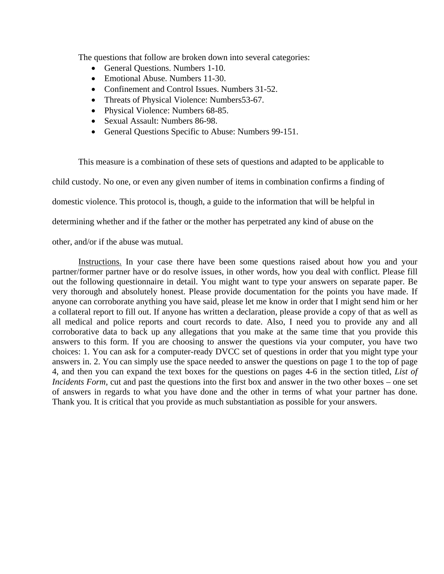The questions that follow are broken down into several categories:

- General Questions. Numbers 1-10.
- Emotional Abuse. Numbers 11-30.
- Confinement and Control Issues. Numbers 31-52.
- Threats of Physical Violence: Numbers 53-67.
- Physical Violence: Numbers 68-85.
- Sexual Assault: Numbers 86-98.
- General Questions Specific to Abuse: Numbers 99-151.

This measure is a combination of these sets of questions and adapted to be applicable to child custody. No one, or even any given number of items in combination confirms a finding of domestic violence. This protocol is, though, a guide to the information that will be helpful in determining whether and if the father or the mother has perpetrated any kind of abuse on the

other, and/or if the abuse was mutual.

Instructions. In your case there have been some questions raised about how you and your partner/former partner have or do resolve issues, in other words, how you deal with conflict. Please fill out the following questionnaire in detail. You might want to type your answers on separate paper. Be very thorough and absolutely honest. Please provide documentation for the points you have made. If anyone can corroborate anything you have said, please let me know in order that I might send him or her a collateral report to fill out. If anyone has written a declaration, please provide a copy of that as well as all medical and police reports and court records to date. Also, I need you to provide any and all corroborative data to back up any allegations that you make at the same time that you provide this answers to this form. If you are choosing to answer the questions via your computer, you have two choices: 1. You can ask for a computer-ready DVCC set of questions in order that you might type your answers in. 2. You can simply use the space needed to answer the questions on page 1 to the top of page 4, and then you can expand the text boxes for the questions on pages 4-6 in the section titled, *List of Incidents Form*, cut and past the questions into the first box and answer in the two other boxes – one set of answers in regards to what you have done and the other in terms of what your partner has done. Thank you. It is critical that you provide as much substantiation as possible for your answers.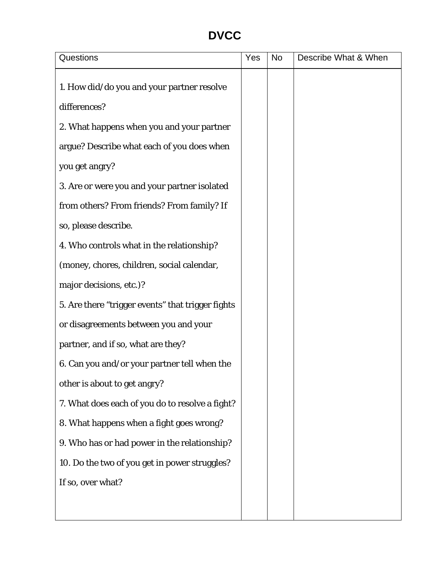## **DVCC**

| Questions                                         | Yes | No | Describe What & When |
|---------------------------------------------------|-----|----|----------------------|
| 1. How did/do you and your partner resolve        |     |    |                      |
|                                                   |     |    |                      |
| differences?                                      |     |    |                      |
| 2. What happens when you and your partner         |     |    |                      |
| argue? Describe what each of you does when        |     |    |                      |
| you get angry?                                    |     |    |                      |
| 3. Are or were you and your partner isolated      |     |    |                      |
| from others? From friends? From family? If        |     |    |                      |
| so, please describe.                              |     |    |                      |
| 4. Who controls what in the relationship?         |     |    |                      |
| (money, chores, children, social calendar,        |     |    |                      |
| major decisions, etc.)?                           |     |    |                      |
| 5. Are there "trigger events" that trigger fights |     |    |                      |
| or disagreements between you and your             |     |    |                      |
| partner, and if so, what are they?                |     |    |                      |
| 6. Can you and/or your partner tell when the      |     |    |                      |
| other is about to get angry?                      |     |    |                      |
| 7. What does each of you do to resolve a fight?   |     |    |                      |
| 8. What happens when a fight goes wrong?          |     |    |                      |
| 9. Who has or had power in the relationship?      |     |    |                      |
| 10. Do the two of you get in power struggles?     |     |    |                      |
| If so, over what?                                 |     |    |                      |
|                                                   |     |    |                      |
|                                                   |     |    |                      |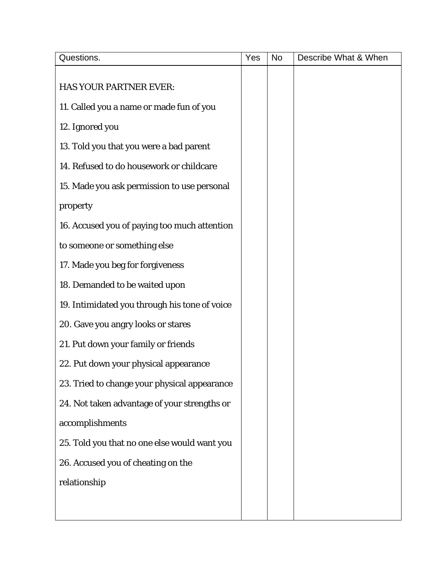| Questions.                                    | Yes | <b>No</b> | Describe What & When |
|-----------------------------------------------|-----|-----------|----------------------|
| HAS YOUR PARTNER EVER:                        |     |           |                      |
|                                               |     |           |                      |
| 11. Called you a name or made fun of you      |     |           |                      |
| 12. Ignored you                               |     |           |                      |
| 13. Told you that you were a bad parent       |     |           |                      |
| 14. Refused to do housework or childcare      |     |           |                      |
| 15. Made you ask permission to use personal   |     |           |                      |
| property                                      |     |           |                      |
| 16. Accused you of paying too much attention  |     |           |                      |
| to someone or something else                  |     |           |                      |
| 17. Made you beg for forgiveness              |     |           |                      |
| 18. Demanded to be waited upon                |     |           |                      |
| 19. Intimidated you through his tone of voice |     |           |                      |
| 20. Gave you angry looks or stares            |     |           |                      |
| 21. Put down your family or friends           |     |           |                      |
| 22. Put down your physical appearance         |     |           |                      |
| 23. Tried to change your physical appearance  |     |           |                      |
| 24. Not taken advantage of your strengths or  |     |           |                      |
| accomplishments                               |     |           |                      |
| 25. Told you that no one else would want you  |     |           |                      |
| 26. Accused you of cheating on the            |     |           |                      |
| relationship                                  |     |           |                      |
|                                               |     |           |                      |
|                                               |     |           |                      |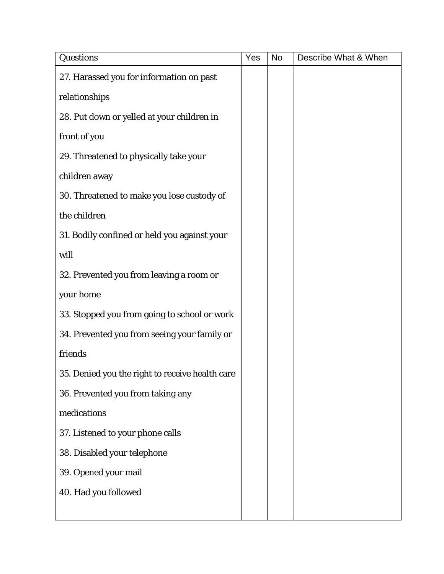| Questions                                       | Yes | <b>No</b> | Describe What & When |
|-------------------------------------------------|-----|-----------|----------------------|
| 27. Harassed you for information on past        |     |           |                      |
| relationships                                   |     |           |                      |
| 28. Put down or yelled at your children in      |     |           |                      |
| front of you                                    |     |           |                      |
| 29. Threatened to physically take your          |     |           |                      |
| children away                                   |     |           |                      |
| 30. Threatened to make you lose custody of      |     |           |                      |
| the children                                    |     |           |                      |
| 31. Bodily confined or held you against your    |     |           |                      |
| will                                            |     |           |                      |
| 32. Prevented you from leaving a room or        |     |           |                      |
| your home                                       |     |           |                      |
| 33. Stopped you from going to school or work    |     |           |                      |
| 34. Prevented you from seeing your family or    |     |           |                      |
| friends                                         |     |           |                      |
| 35. Denied you the right to receive health care |     |           |                      |
| 36. Prevented you from taking any               |     |           |                      |
| medications                                     |     |           |                      |
| 37. Listened to your phone calls                |     |           |                      |
| 38. Disabled your telephone                     |     |           |                      |
| 39. Opened your mail                            |     |           |                      |
| 40. Had you followed                            |     |           |                      |
|                                                 |     |           |                      |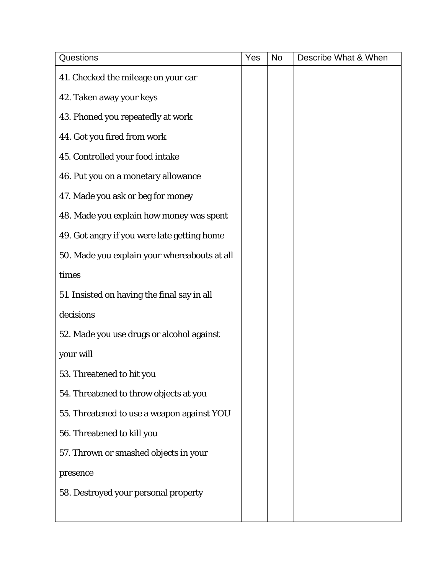| Questions                                    | Yes | <b>No</b> | Describe What & When |
|----------------------------------------------|-----|-----------|----------------------|
| 41. Checked the mileage on your car          |     |           |                      |
| 42. Taken away your keys                     |     |           |                      |
| 43. Phoned you repeatedly at work            |     |           |                      |
| 44. Got you fired from work                  |     |           |                      |
| 45. Controlled your food intake              |     |           |                      |
| 46. Put you on a monetary allowance          |     |           |                      |
| 47. Made you ask or beg for money            |     |           |                      |
| 48. Made you explain how money was spent     |     |           |                      |
| 49. Got angry if you were late getting home  |     |           |                      |
| 50. Made you explain your whereabouts at all |     |           |                      |
| times                                        |     |           |                      |
| 51. Insisted on having the final say in all  |     |           |                      |
| decisions                                    |     |           |                      |
| 52. Made you use drugs or alcohol against    |     |           |                      |
| your will                                    |     |           |                      |
| 53. Threatened to hit you                    |     |           |                      |
| 54. Threatened to throw objects at you       |     |           |                      |
| 55. Threatened to use a weapon against YOU   |     |           |                      |
| 56. Threatened to kill you                   |     |           |                      |
| 57. Thrown or smashed objects in your        |     |           |                      |
| presence                                     |     |           |                      |
| 58. Destroyed your personal property         |     |           |                      |
|                                              |     |           |                      |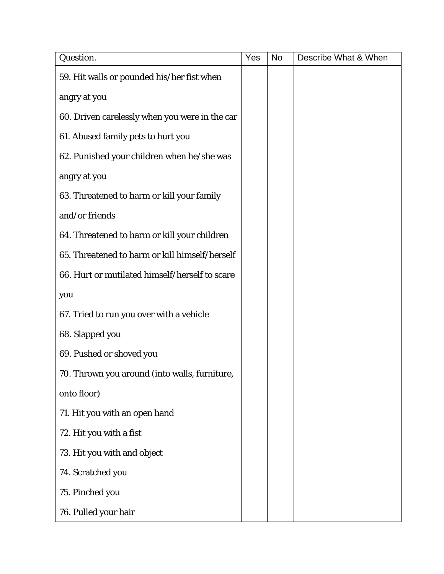| Question.                                      | Yes | <b>No</b> | Describe What & When |
|------------------------------------------------|-----|-----------|----------------------|
| 59. Hit walls or pounded his/her fist when     |     |           |                      |
| angry at you                                   |     |           |                      |
| 60. Driven carelessly when you were in the car |     |           |                      |
| 61. Abused family pets to hurt you             |     |           |                      |
| 62. Punished your children when he/she was     |     |           |                      |
| angry at you                                   |     |           |                      |
| 63. Threatened to harm or kill your family     |     |           |                      |
| and/or friends                                 |     |           |                      |
| 64. Threatened to harm or kill your children   |     |           |                      |
| 65. Threatened to harm or kill himself/herself |     |           |                      |
| 66. Hurt or mutilated himself/herself to scare |     |           |                      |
| you                                            |     |           |                      |
| 67. Tried to run you over with a vehicle       |     |           |                      |
| 68. Slapped you                                |     |           |                      |
| 69. Pushed or shoved you                       |     |           |                      |
| 70. Thrown you around (into walls, furniture,  |     |           |                      |
| onto floor)                                    |     |           |                      |
| 71. Hit you with an open hand                  |     |           |                      |
| 72. Hit you with a fist                        |     |           |                      |
| 73. Hit you with and object                    |     |           |                      |
| 74. Scratched you                              |     |           |                      |
| 75. Pinched you                                |     |           |                      |
| 76. Pulled your hair                           |     |           |                      |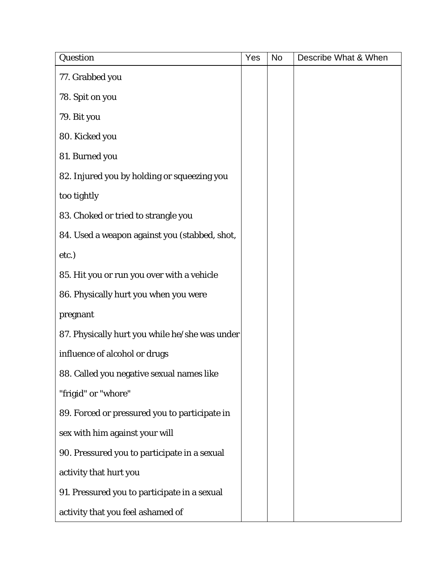| Question                                       | Yes | <b>No</b> | Describe What & When |
|------------------------------------------------|-----|-----------|----------------------|
| 77. Grabbed you                                |     |           |                      |
| 78. Spit on you                                |     |           |                      |
| 79. Bit you                                    |     |           |                      |
| 80. Kicked you                                 |     |           |                      |
| 81. Burned you                                 |     |           |                      |
| 82. Injured you by holding or squeezing you    |     |           |                      |
| too tightly                                    |     |           |                      |
| 83. Choked or tried to strangle you            |     |           |                      |
| 84. Used a weapon against you (stabbed, shot,  |     |           |                      |
| etc.)                                          |     |           |                      |
| 85. Hit you or run you over with a vehicle     |     |           |                      |
| 86. Physically hurt you when you were          |     |           |                      |
| pregnant                                       |     |           |                      |
| 87. Physically hurt you while he/she was under |     |           |                      |
| influence of alcohol or drugs                  |     |           |                      |
| 88. Called you negative sexual names like      |     |           |                      |
| "frigid" or "whore"                            |     |           |                      |
| 89. Forced or pressured you to participate in  |     |           |                      |
| sex with him against your will                 |     |           |                      |
| 90. Pressured you to participate in a sexual   |     |           |                      |
| activity that hurt you                         |     |           |                      |
| 91. Pressured you to participate in a sexual   |     |           |                      |
| activity that you feel ashamed of              |     |           |                      |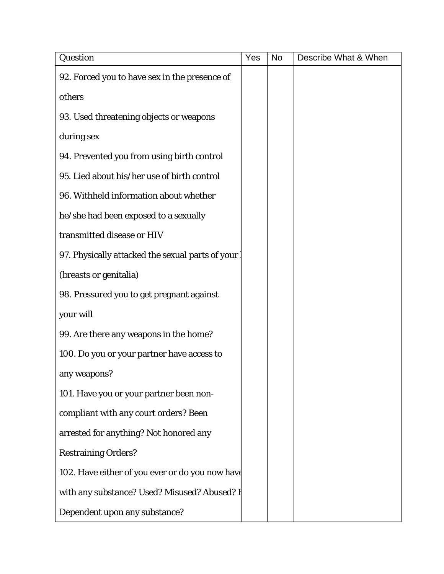| Question                                         | Yes | <b>No</b> | Describe What & When |
|--------------------------------------------------|-----|-----------|----------------------|
| 92. Forced you to have sex in the presence of    |     |           |                      |
| others                                           |     |           |                      |
| 93. Used threatening objects or weapons          |     |           |                      |
| during sex                                       |     |           |                      |
| 94. Prevented you from using birth control       |     |           |                      |
| 95. Lied about his/her use of birth control      |     |           |                      |
| 96. Withheld information about whether           |     |           |                      |
| he/she had been exposed to a sexually            |     |           |                      |
| transmitted disease or HIV                       |     |           |                      |
| 97. Physically attacked the sexual parts of your |     |           |                      |
| (breasts or genitalia)                           |     |           |                      |
| 98. Pressured you to get pregnant against        |     |           |                      |
| your will                                        |     |           |                      |
| 99. Are there any weapons in the home?           |     |           |                      |
| 100. Do you or your partner have access to       |     |           |                      |
| any weapons?                                     |     |           |                      |
| 101. Have you or your partner been non-          |     |           |                      |
| compliant with any court orders? Been            |     |           |                      |
| arrested for anything? Not honored any           |     |           |                      |
| <b>Restraining Orders?</b>                       |     |           |                      |
| 102. Have either of you ever or do you now have  |     |           |                      |
| with any substance? Used? Misused? Abused? E     |     |           |                      |
| Dependent upon any substance?                    |     |           |                      |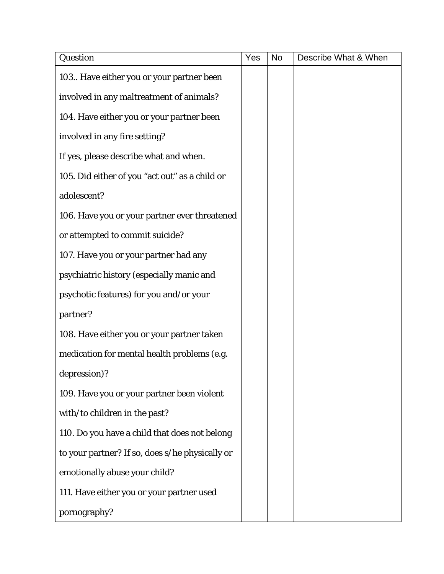| Question                                        | Yes | <b>No</b> | Describe What & When |
|-------------------------------------------------|-----|-----------|----------------------|
| 103. Have either you or your partner been       |     |           |                      |
| involved in any maltreatment of animals?        |     |           |                      |
| 104. Have either you or your partner been       |     |           |                      |
| involved in any fire setting?                   |     |           |                      |
| If yes, please describe what and when.          |     |           |                      |
| 105. Did either of you "act out" as a child or  |     |           |                      |
| adolescent?                                     |     |           |                      |
| 106. Have you or your partner ever threatened   |     |           |                      |
| or attempted to commit suicide?                 |     |           |                      |
| 107. Have you or your partner had any           |     |           |                      |
| psychiatric history (especially manic and       |     |           |                      |
| psychotic features) for you and/or your         |     |           |                      |
| partner?                                        |     |           |                      |
| 108. Have either you or your partner taken      |     |           |                      |
| medication for mental health problems (e.g.     |     |           |                      |
| depression)?                                    |     |           |                      |
| 109. Have you or your partner been violent      |     |           |                      |
| with/to children in the past?                   |     |           |                      |
| 110. Do you have a child that does not belong   |     |           |                      |
| to your partner? If so, does s/he physically or |     |           |                      |
| emotionally abuse your child?                   |     |           |                      |
| 111. Have either you or your partner used       |     |           |                      |
| pornography?                                    |     |           |                      |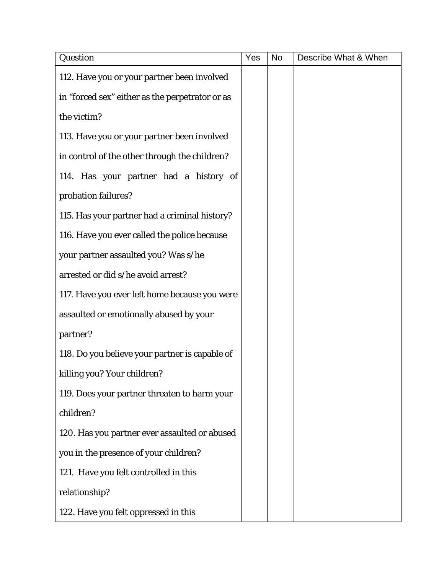| Question                                        | Yes | <b>No</b> | Describe What & When |
|-------------------------------------------------|-----|-----------|----------------------|
| 112. Have you or your partner been involved     |     |           |                      |
| in "forced sex" either as the perpetrator or as |     |           |                      |
| the victim?                                     |     |           |                      |
| 113. Have you or your partner been involved     |     |           |                      |
| in control of the other through the children?   |     |           |                      |
| 114. Has your partner had a history of          |     |           |                      |
| probation failures?                             |     |           |                      |
| 115. Has your partner had a criminal history?   |     |           |                      |
| 116. Have you ever called the police because    |     |           |                      |
| your partner assaulted you? Was s/he            |     |           |                      |
| arrested or did s/he avoid arrest?              |     |           |                      |
| 117. Have you ever left home because you were   |     |           |                      |
| assaulted or emotionally abused by your         |     |           |                      |
| partner?                                        |     |           |                      |
| 118. Do you believe your partner is capable of  |     |           |                      |
| killing you? Your children?                     |     |           |                      |
| 119. Does your partner threaten to harm your    |     |           |                      |
| children?                                       |     |           |                      |
| 120. Has you partner ever assaulted or abused   |     |           |                      |
| you in the presence of your children?           |     |           |                      |
| 121. Have you felt controlled in this           |     |           |                      |
| relationship?                                   |     |           |                      |
| 122. Have you felt oppressed in this            |     |           |                      |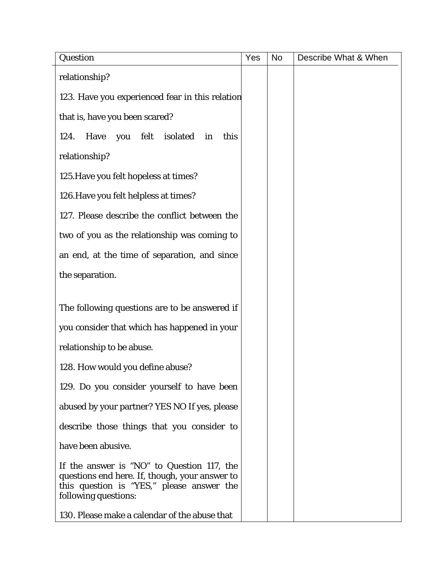| Question                                                                                                                                                          | Yes | <b>No</b> | Describe What & When |
|-------------------------------------------------------------------------------------------------------------------------------------------------------------------|-----|-----------|----------------------|
| relationship?                                                                                                                                                     |     |           |                      |
| 123. Have you experienced fear in this relation                                                                                                                   |     |           |                      |
| that is, have you been scared?                                                                                                                                    |     |           |                      |
| you felt isolated<br>124.<br>Have<br>in<br>this                                                                                                                   |     |           |                      |
| relationship?                                                                                                                                                     |     |           |                      |
| 125. Have you felt hopeless at times?                                                                                                                             |     |           |                      |
| 126. Have you felt helpless at times?                                                                                                                             |     |           |                      |
| 127. Please describe the conflict between the                                                                                                                     |     |           |                      |
| two of you as the relationship was coming to                                                                                                                      |     |           |                      |
| an end, at the time of separation, and since                                                                                                                      |     |           |                      |
| the separation.                                                                                                                                                   |     |           |                      |
|                                                                                                                                                                   |     |           |                      |
| The following questions are to be answered if                                                                                                                     |     |           |                      |
| you consider that which has happened in your                                                                                                                      |     |           |                      |
| relationship to be abuse.                                                                                                                                         |     |           |                      |
| 128. How would you define abuse?                                                                                                                                  |     |           |                      |
| 129. Do you consider yourself to have been                                                                                                                        |     |           |                      |
| abused by your partner? YES NO If yes, please                                                                                                                     |     |           |                      |
| describe those things that you consider to                                                                                                                        |     |           |                      |
| have been abusive.                                                                                                                                                |     |           |                      |
| If the answer is "NO" to Question 117, the<br>questions end here. If, though, your answer to<br>this question is "YES," please answer the<br>following questions: |     |           |                      |
| 130. Please make a calendar of the abuse that                                                                                                                     |     |           |                      |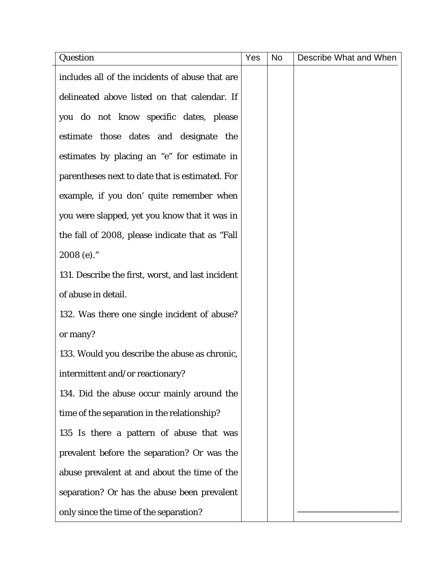| Question                                          | Yes | <b>No</b> | Describe What and When |
|---------------------------------------------------|-----|-----------|------------------------|
| includes all of the incidents of abuse that are   |     |           |                        |
| delineated above listed on that calendar. If      |     |           |                        |
| you do not know specific dates, please            |     |           |                        |
| estimate those dates and designate the            |     |           |                        |
| estimates by placing an "e" for estimate in       |     |           |                        |
| parentheses next to date that is estimated. For   |     |           |                        |
| example, if you don' quite remember when          |     |           |                        |
| you were slapped, yet you know that it was in     |     |           |                        |
| the fall of 2008, please indicate that as "Fall   |     |           |                        |
| 2008 (e)."                                        |     |           |                        |
| 131. Describe the first, worst, and last incident |     |           |                        |
| of abuse in detail.                               |     |           |                        |
| 132. Was there one single incident of abuse?      |     |           |                        |
| or many?                                          |     |           |                        |
| 133. Would you describe the abuse as chronic,     |     |           |                        |
| intermittent and/or reactionary?                  |     |           |                        |
| 134. Did the abuse occur mainly around the        |     |           |                        |
| time of the separation in the relationship?       |     |           |                        |
| 135 Is there a pattern of abuse that was          |     |           |                        |
| prevalent before the separation? Or was the       |     |           |                        |
| abuse prevalent at and about the time of the      |     |           |                        |
| separation? Or has the abuse been prevalent       |     |           |                        |
| only since the time of the separation?            |     |           |                        |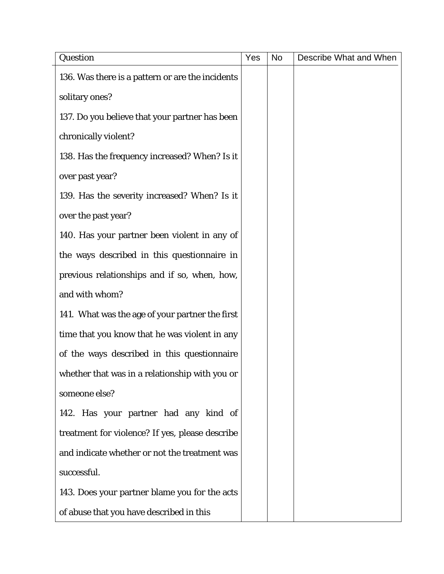| Question                                         | Yes | <b>No</b> | Describe What and When |
|--------------------------------------------------|-----|-----------|------------------------|
| 136. Was there is a pattern or are the incidents |     |           |                        |
| solitary ones?                                   |     |           |                        |
| 137. Do you believe that your partner has been   |     |           |                        |
| chronically violent?                             |     |           |                        |
| 138. Has the frequency increased? When? Is it    |     |           |                        |
| over past year?                                  |     |           |                        |
| 139. Has the severity increased? When? Is it     |     |           |                        |
| over the past year?                              |     |           |                        |
| 140. Has your partner been violent in any of     |     |           |                        |
| the ways described in this questionnaire in      |     |           |                        |
| previous relationships and if so, when, how,     |     |           |                        |
| and with whom?                                   |     |           |                        |
| 141. What was the age of your partner the first  |     |           |                        |
| time that you know that he was violent in any    |     |           |                        |
| of the ways described in this questionnaire      |     |           |                        |
| whether that was in a relationship with you or   |     |           |                        |
| someone else?                                    |     |           |                        |
| 142. Has your partner had any kind of            |     |           |                        |
| treatment for violence? If yes, please describe  |     |           |                        |
| and indicate whether or not the treatment was    |     |           |                        |
| successful.                                      |     |           |                        |
| 143. Does your partner blame you for the acts    |     |           |                        |
| of abuse that you have described in this         |     |           |                        |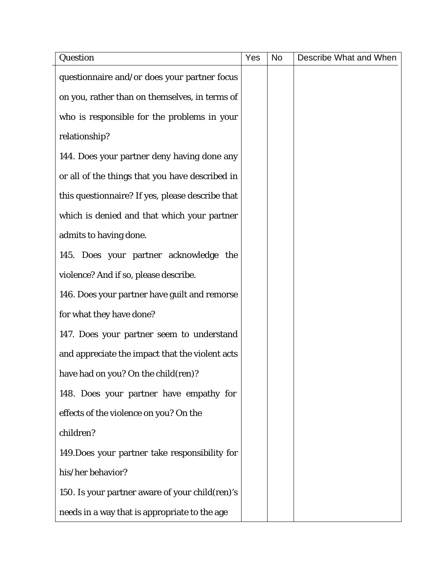| Question                                         | Yes | <b>No</b> | Describe What and When |
|--------------------------------------------------|-----|-----------|------------------------|
| questionnaire and/or does your partner focus     |     |           |                        |
| on you, rather than on themselves, in terms of   |     |           |                        |
| who is responsible for the problems in your      |     |           |                        |
| relationship?                                    |     |           |                        |
| 144. Does your partner deny having done any      |     |           |                        |
| or all of the things that you have described in  |     |           |                        |
| this questionnaire? If yes, please describe that |     |           |                        |
| which is denied and that which your partner      |     |           |                        |
| admits to having done.                           |     |           |                        |
| 145. Does your partner acknowledge the           |     |           |                        |
| violence? And if so, please describe.            |     |           |                        |
| 146. Does your partner have guilt and remorse    |     |           |                        |
| for what they have done?                         |     |           |                        |
| 147. Does your partner seem to understand        |     |           |                        |
| and appreciate the impact that the violent acts  |     |           |                        |
| have had on you? On the child(ren)?              |     |           |                        |
| 148. Does your partner have empathy for          |     |           |                        |
| effects of the violence on you? On the           |     |           |                        |
| children?                                        |     |           |                        |
| 149. Does your partner take responsibility for   |     |           |                        |
| his/her behavior?                                |     |           |                        |
| 150. Is your partner aware of your child (ren)'s |     |           |                        |
| needs in a way that is appropriate to the age    |     |           |                        |